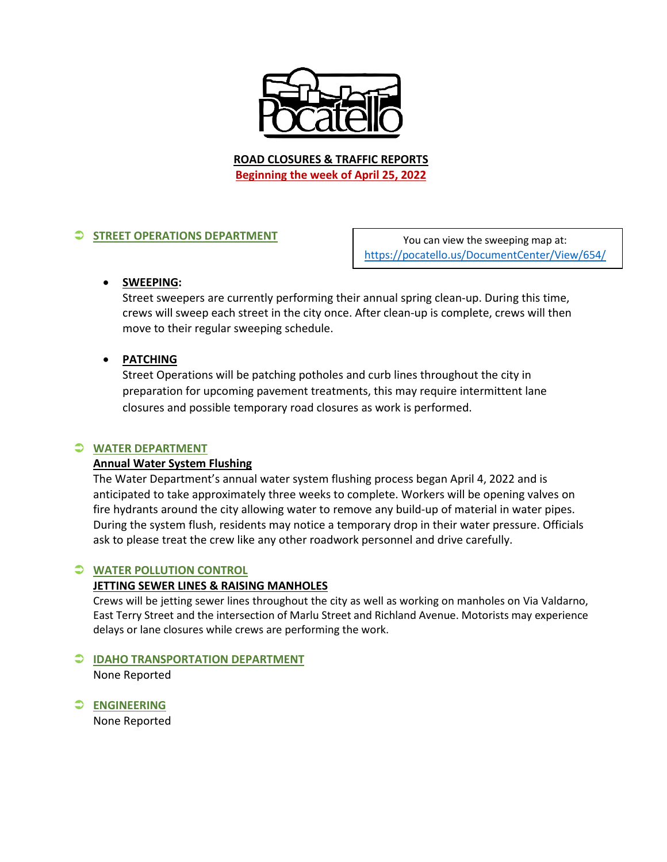

**ROAD CLOSURES & TRAFFIC REPORTS Beginning the week of April 25, 2022**

# **STREET OPERATIONS DEPARTMENT**

You can view the sweeping map at: <https://pocatello.us/DocumentCenter/View/654/>

## • **SWEEPING:**

Street sweepers are currently performing their annual spring clean-up. During this time, crews will sweep each street in the city once. After clean-up is complete, crews will then move to their regular sweeping schedule.

## • **PATCHING**

Street Operations will be patching potholes and curb lines throughout the city in preparation for upcoming pavement treatments, this may require intermittent lane closures and possible temporary road closures as work is performed.

## **WATER DEPARTMENT**

## **Annual Water System Flushing**

The Water Department's annual water system flushing process began April 4, 2022 and is anticipated to take approximately three weeks to complete. Workers will be opening valves on fire hydrants around the city allowing water to remove any build-up of material in water pipes. During the system flush, residents may notice a temporary drop in their water pressure. Officials ask to please treat the crew like any other roadwork personnel and drive carefully.

## **WATER POLLUTION CONTROL**

#### **JETTING SEWER LINES & RAISING MANHOLES**

Crews will be jetting sewer lines throughout the city as well as working on manholes on Via Valdarno, East Terry Street and the intersection of Marlu Street and Richland Avenue. Motorists may experience delays or lane closures while crews are performing the work.

#### **IDAHO TRANSPORTATION DEPARTMENT**

None Reported

**ENGINEERING**

None Reported